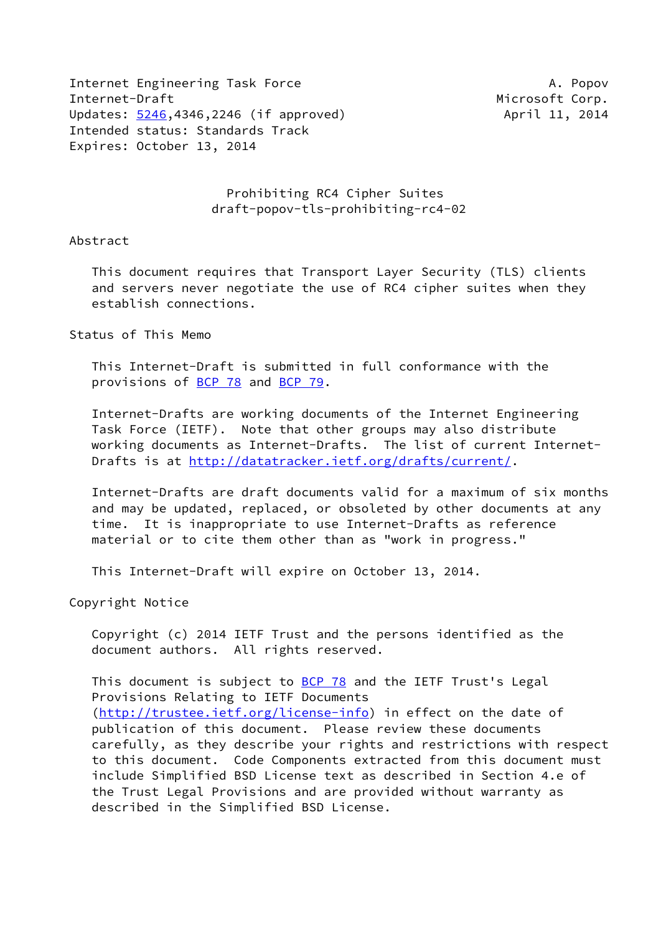Internet Engineering Task Force A. Popov Internet-Draft Microsoft Corp. Updates: [5246](https://datatracker.ietf.org/doc/pdf/rfc5246),4346,2246 (if approved) April 11, 2014 Intended status: Standards Track Expires: October 13, 2014

 Prohibiting RC4 Cipher Suites draft-popov-tls-prohibiting-rc4-02

### Abstract

 This document requires that Transport Layer Security (TLS) clients and servers never negotiate the use of RC4 cipher suites when they establish connections.

### Status of This Memo

 This Internet-Draft is submitted in full conformance with the provisions of [BCP 78](https://datatracker.ietf.org/doc/pdf/bcp78) and [BCP 79](https://datatracker.ietf.org/doc/pdf/bcp79).

 Internet-Drafts are working documents of the Internet Engineering Task Force (IETF). Note that other groups may also distribute working documents as Internet-Drafts. The list of current Internet Drafts is at<http://datatracker.ietf.org/drafts/current/>.

 Internet-Drafts are draft documents valid for a maximum of six months and may be updated, replaced, or obsoleted by other documents at any time. It is inappropriate to use Internet-Drafts as reference material or to cite them other than as "work in progress."

This Internet-Draft will expire on October 13, 2014.

Copyright Notice

 Copyright (c) 2014 IETF Trust and the persons identified as the document authors. All rights reserved.

This document is subject to **[BCP 78](https://datatracker.ietf.org/doc/pdf/bcp78)** and the IETF Trust's Legal Provisions Relating to IETF Documents [\(http://trustee.ietf.org/license-info](http://trustee.ietf.org/license-info)) in effect on the date of publication of this document. Please review these documents carefully, as they describe your rights and restrictions with respect to this document. Code Components extracted from this document must include Simplified BSD License text as described in Section 4.e of the Trust Legal Provisions and are provided without warranty as described in the Simplified BSD License.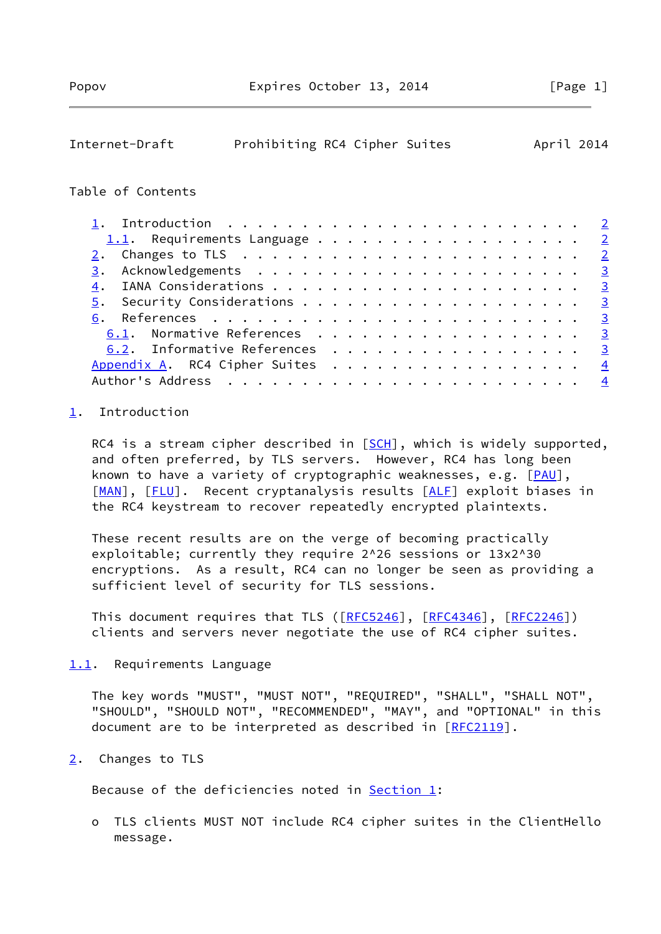# <span id="page-1-1"></span>Internet-Draft Prohibiting RC4 Cipher Suites April 2014

### Table of Contents

| 1.1. Requirements Language 2                                                  |  |  |  |  |  |  |  |  |  |                |
|-------------------------------------------------------------------------------|--|--|--|--|--|--|--|--|--|----------------|
| $2.$ Changes to TLS $\ldots \ldots \ldots \ldots \ldots \ldots \ldots \ldots$ |  |  |  |  |  |  |  |  |  |                |
|                                                                               |  |  |  |  |  |  |  |  |  |                |
|                                                                               |  |  |  |  |  |  |  |  |  |                |
|                                                                               |  |  |  |  |  |  |  |  |  |                |
|                                                                               |  |  |  |  |  |  |  |  |  |                |
| 6.1. Normative References 3                                                   |  |  |  |  |  |  |  |  |  |                |
| 6.2. Informative References 3                                                 |  |  |  |  |  |  |  |  |  |                |
| Appendix A. RC4 Cipher Suites                                                 |  |  |  |  |  |  |  |  |  | $\overline{4}$ |
|                                                                               |  |  |  |  |  |  |  |  |  |                |

## <span id="page-1-0"></span>[1](#page-1-0). Introduction

RC4 is a stream cipher described in  $[SCH]$  $[SCH]$ , which is widely supported, and often preferred, by TLS servers. However, RC4 has long been known to have a variety of cryptographic weaknesses, e.g. [[PAU](#page-3-4)], [\[MAN](#page-3-5)], [\[FLU](#page-3-6)]. Recent cryptanalysis results [\[ALF](#page-3-7)] exploit biases in the RC4 keystream to recover repeatedly encrypted plaintexts.

 These recent results are on the verge of becoming practically exploitable; currently they require 2^26 sessions or 13x2^30 encryptions. As a result, RC4 can no longer be seen as providing a sufficient level of security for TLS sessions.

This document requires that TLS ([\[RFC5246](https://datatracker.ietf.org/doc/pdf/rfc5246)], [\[RFC4346](https://datatracker.ietf.org/doc/pdf/rfc4346)], [\[RFC2246](https://datatracker.ietf.org/doc/pdf/rfc2246)]) clients and servers never negotiate the use of RC4 cipher suites.

<span id="page-1-2"></span>[1.1](#page-1-2). Requirements Language

 The key words "MUST", "MUST NOT", "REQUIRED", "SHALL", "SHALL NOT", "SHOULD", "SHOULD NOT", "RECOMMENDED", "MAY", and "OPTIONAL" in this document are to be interpreted as described in [\[RFC2119](https://datatracker.ietf.org/doc/pdf/rfc2119)].

<span id="page-1-3"></span>[2](#page-1-3). Changes to TLS

Because of the deficiencies noted in [Section 1](#page-1-0):

 o TLS clients MUST NOT include RC4 cipher suites in the ClientHello message.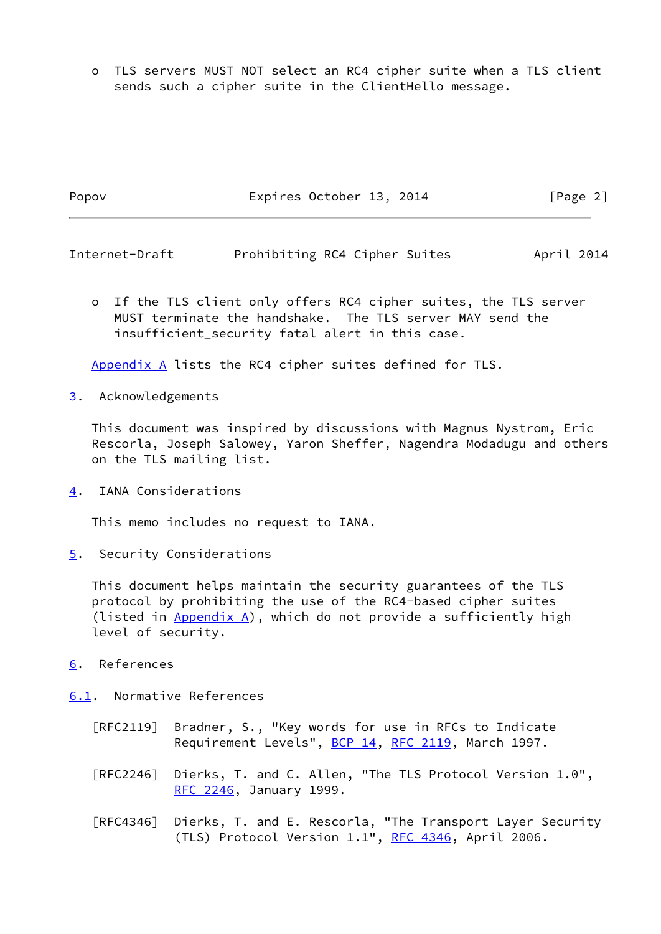o TLS servers MUST NOT select an RC4 cipher suite when a TLS client sends such a cipher suite in the ClientHello message.

Popov Expires October 13, 2014 [Page 2]

<span id="page-2-1"></span>Internet-Draft Prohibiting RC4 Cipher Suites April 2014

 o If the TLS client only offers RC4 cipher suites, the TLS server MUST terminate the handshake. The TLS server MAY send the insufficient security fatal alert in this case.

[Appendix A](#page-3-1) lists the RC4 cipher suites defined for TLS.

<span id="page-2-0"></span>[3](#page-2-0). Acknowledgements

 This document was inspired by discussions with Magnus Nystrom, Eric Rescorla, Joseph Salowey, Yaron Sheffer, Nagendra Modadugu and others on the TLS mailing list.

<span id="page-2-2"></span>[4](#page-2-2). IANA Considerations

This memo includes no request to IANA.

<span id="page-2-3"></span>[5](#page-2-3). Security Considerations

 This document helps maintain the security guarantees of the TLS protocol by prohibiting the use of the RC4-based cipher suites (listed in  $Appendix A)$ , which do not provide a sufficiently high level of security.

<span id="page-2-4"></span>[6](#page-2-4). References

<span id="page-2-5"></span>[6.1](#page-2-5). Normative References

- [RFC2119] Bradner, S., "Key words for use in RFCs to Indicate Requirement Levels", [BCP 14](https://datatracker.ietf.org/doc/pdf/bcp14), [RFC 2119](https://datatracker.ietf.org/doc/pdf/rfc2119), March 1997.
- [RFC2246] Dierks, T. and C. Allen, "The TLS Protocol Version 1.0", [RFC 2246,](https://datatracker.ietf.org/doc/pdf/rfc2246) January 1999.
- [RFC4346] Dierks, T. and E. Rescorla, "The Transport Layer Security (TLS) Protocol Version 1.1", [RFC 4346](https://datatracker.ietf.org/doc/pdf/rfc4346), April 2006.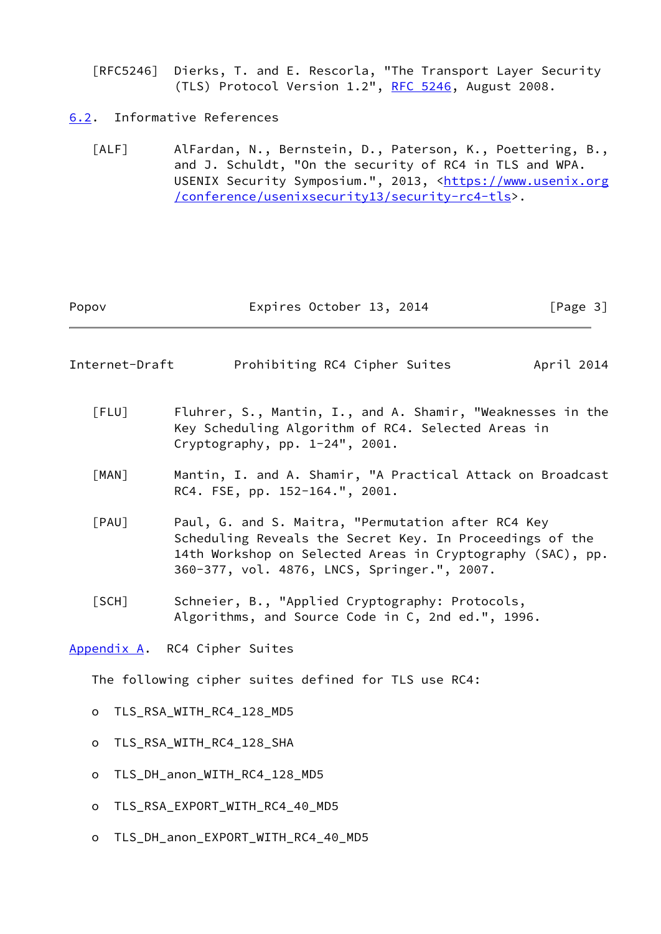[RFC5246] Dierks, T. and E. Rescorla, "The Transport Layer Security (TLS) Protocol Version 1.2", [RFC 5246](https://datatracker.ietf.org/doc/pdf/rfc5246), August 2008.

<span id="page-3-0"></span>[6.2](#page-3-0). Informative References

<span id="page-3-7"></span> [ALF] AlFardan, N., Bernstein, D., Paterson, K., Poettering, B., and J. Schuldt, "On the security of RC4 in TLS and WPA. USENIX Security Symposium.", 2013, <[https://www.usenix.org](https://www.usenix.org/conference/usenixsecurity13/security-rc4-tls) [/conference/usenixsecurity13/security-rc4-tls>](https://www.usenix.org/conference/usenixsecurity13/security-rc4-tls).

| Popov | Expires October 13, 2014 | [Page 3] |
|-------|--------------------------|----------|
|       |                          |          |

- <span id="page-3-6"></span><span id="page-3-5"></span><span id="page-3-2"></span>Internet-Draft Prohibiting RC4 Cipher Suites April 2014
	- [FLU] Fluhrer, S., Mantin, I., and A. Shamir, "Weaknesses in the Key Scheduling Algorithm of RC4. Selected Areas in Cryptography, pp. 1-24", 2001.
	- [MAN] Mantin, I. and A. Shamir, "A Practical Attack on Broadcast RC4. FSE, pp. 152-164.", 2001.
	- [PAU] Paul, G. and S. Maitra, "Permutation after RC4 Key Scheduling Reveals the Secret Key. In Proceedings of the 14th Workshop on Selected Areas in Cryptography (SAC), pp. 360-377, vol. 4876, LNCS, Springer.", 2007.
	- [SCH] Schneier, B., "Applied Cryptography: Protocols, Algorithms, and Source Code in C, 2nd ed.", 1996.

<span id="page-3-4"></span><span id="page-3-3"></span><span id="page-3-1"></span>[Appendix A.](#page-3-1) RC4 Cipher Suites

The following cipher suites defined for TLS use RC4:

- o TLS\_RSA\_WITH\_RC4\_128\_MD5
- o TLS\_RSA\_WITH\_RC4\_128\_SHA
- o TLS\_DH\_anon\_WITH\_RC4\_128\_MD5
- o TLS\_RSA\_EXPORT\_WITH\_RC4\_40\_MD5
- o TLS\_DH\_anon\_EXPORT\_WITH\_RC4\_40\_MD5